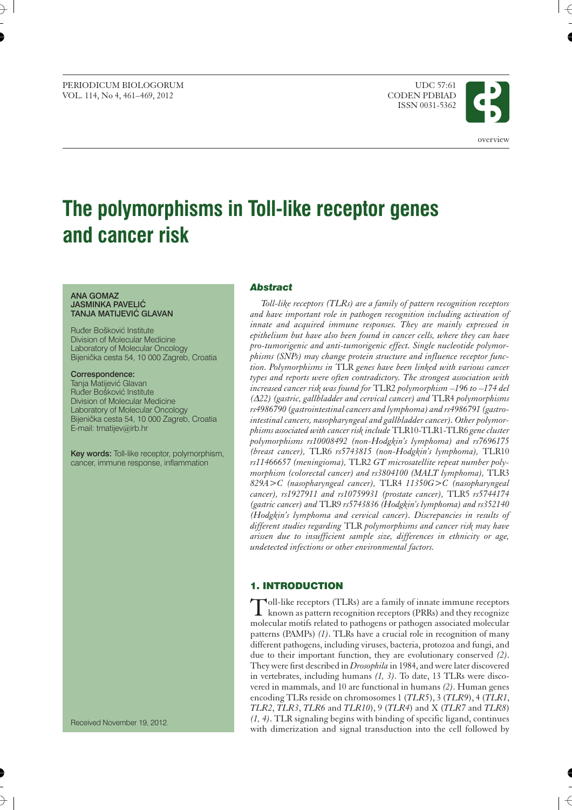PERIODICUM BIOLOGORUM UDC 57:61<br>VOL. 114. No 4. 461–469. 2012 CODEN PDBIAD VOL. 114, No 4, 461-469, 2012

ISSN 0031-5362



# **The polymorphisms in Toll-like receptor genes and cancer risk**

#### **ANA GOMAZ JASMINKA PAVELIĆ TANJA MATIJEVIĆ GLAVAN**

Ruđer Bošković Institute Division of Molecular Medicine Laboratory of Molecular Oncology Bijenička cesta 54, 10 000 Zagreb, Croatia

**Correspondence:** Tanja Matijević Glavan Ruđer Bošković Institute Division of Molecular Medicine Laboratory of Molecular Oncology Bijenička cesta 54, 10 000 Zagreb, Croatia E-mail: tmatijev@irb.hr

**Key words:** Toll-like receptor, polymorphism, cancer, immune response, inflammation

#### *Abstract*

*Toll-like receptors (TLRs) are a family of pattern recognition receptors and have important role in pathogen recognition including activation of innate and acquired immune responses. They are mainly expressed in epithelium but have also been found in cancer cells, where they can have pro-tumorigenic and anti-tumorigenic effect. Single nucleotide polymorphisms (SNPs) may change protein structure and influence receptor function. Polymorphisms in* TLR *genes have been linked with various cancer types and reports were often contradictory. The strongest association with increased cancer risk was found for* TLR2 *polymorphism –196 to –174 del (D22) (gastric, gallbladder and cervical cancer) and* TLR4 *polymorphisms rs4986790 (gastrointestinal cancers and lymphoma) and rs4986791 (gastrointestinal cancers, nasopharyngeal and gallbladder cancer). Other polymorphisms associated with cancer risk include*TLR10-TLR1-TLR6 *gene cluster polymorphisms rs10008492 (non-Hodgkin's lymphoma) and rs7696175 (breast cancer),* TLR6 *rs5743815 (non-Hodgkin's lymphoma),* TLR10 *rs11466657 (meningioma),* TLR2 *GT microsatellite repeat number polymorphism (colorectal cancer) and rs3804100 (MALT lymphoma),* TLR3 *829A>C (nasopharyngeal cancer),* TLR4 *11350G>C (nasopharyngeal cancer), rs1927911 and rs10759931 (prostate cancer),* TLR5 *rs5744174 (gastric cancer) and* TLR9 *rs5743836 (Hodgkin's lymphoma) and rs352140 (Hodgkin's lymphoma and cervical cancer). Discrepancies in results of different studies regarding* TLR *polymorphisms and cancer risk may have arissen due to insufficient sample size, differences in ethnicity or age, undetected infections or other environmental factors.*

## **1. INTRODUCTION**

T oll-like receptors (TLRs) are a family of innate immune receptors known as pattern recognition receptors (PRRs) and they recognize molecular motifs related to pathogens or pathogen associated molecular patterns (PAMPs) *(1)*. TLRs have a crucial role in recognition of many different pathogens, including viruses, bacteria, protozoa and fungi, and due to their important function, they are evolutionary conserved *(2)*. They were first described in *Drosophila* in 1984, and were later discovered in vertebrates, including humans *(1, 3)*. To date, 13 TLRs were discovered in mammals, and 10 are functional in humans *(2)*. Human genes encoding TLRs reside on chromosomes 1 (*TLR5*), 3 (*TLR9*), 4 (*TLR1*, *TLR2*, *TLR3*, *TLR6* and *TLR10*), 9 (*TLR4*) and X (*TLR7* and *TLR8*) *(1, 4)*. TLR signaling begins with binding of specific ligand, continues with dimerization and signal transduction into the cell followed by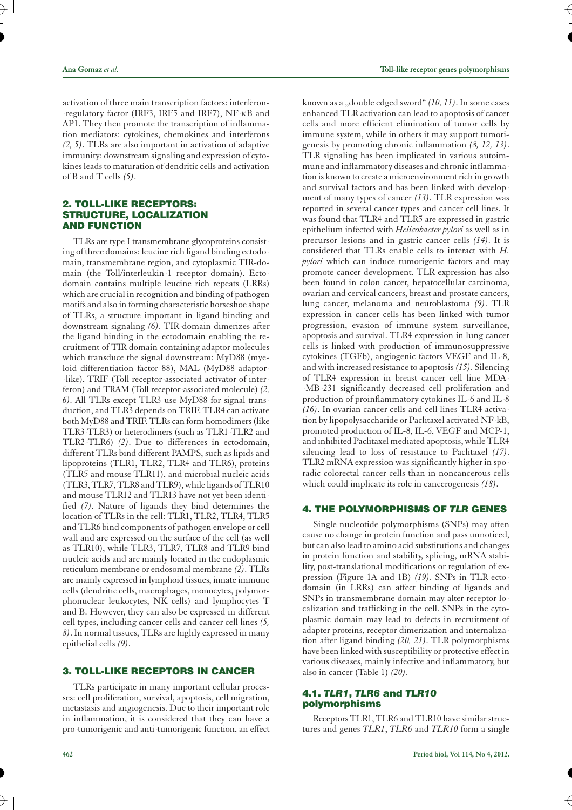activation of three main transcription factors: interferon- -regulatory factor (IRF3, IRF5 and IRF7), NF-kB and AP1. They then promote the transcription of inflammation mediators: cytokines, chemokines and interferons *(2, 5)*. TLRs are also important in activation of adaptive immunity: downstream signaling and expression of cytokines leads to maturation of dendritic cells and activation of B and T cells *(5)*.

## **2. TOLL-LIKE RECEPTORS: STRUCTURE, LOCALIZATION AND FUNCTION**

TLRs are type I transmembrane glycoproteins consisting of three domains: leucine rich ligand binding ectodomain, transmembrane region, and cytoplasmic TIR-domain (the Toll/interleukin-1 receptor domain). Ectodomain contains multiple leucine rich repeats (LRRs) which are crucial in recognition and binding of pathogen motifs and also in forming characteristic horseshoe shape of TLRs, a structure important in ligand binding and downstream signaling *(6)*. TIR-domain dimerizes after the ligand binding in the ectodomain enabling the recruitment of TIR domain containing adaptor molecules which transduce the signal downstream: MyD88 (myeloid differentiation factor 88), MAL (MyD88 adaptor- -like), TRIF (Toll receptor-associated activator of interferon) and TRAM (Toll receptor-associated molecule) *(2, 6)*. All TLRs except TLR3 use MyD88 for signal transduction, and TLR3 depends on TRIF. TLR4 can activate both MyD88 and TRIF. TLRs can form homodimers (like TLR3-TLR3) or heterodimers (such as TLR1-TLR2 and TLR2-TLR6) *(2)*. Due to differences in ectodomain, different TLRs bind different PAMPS, such as lipids and lipoproteins (TLR1, TLR2, TLR4 and TLR6), proteins (TLR5 and mouse TLR11), and microbial nucleic acids (TLR3, TLR7, TLR8 and TLR9), while ligands of TLR10 and mouse TLR12 and TLR13 have not yet been identified *(7)*. Nature of ligands they bind determines the location of TLRs in the cell: TLR1, TLR2, TLR4, TLR5 and TLR6 bind components of pathogen envelope or cell wall and are expressed on the surface of the cell (as well as TLR10), while TLR3, TLR7, TLR8 and TLR9 bind nucleic acids and are mainly located in the endoplasmic reticulum membrane or endosomal membrane *(2)*. TLRs are mainly expressed in lymphoid tissues, innate immune cells (dendritic cells, macrophages, monocytes, polymorphonuclear leukocytes, NK cells) and lymphocytes T and B. However, they can also be expressed in different cell types, including cancer cells and cancer cell lines *(5, 8)*. In normal tissues, TLRs are highly expressed in many epithelial cells *(9)*.

## **3. TOLL-LIKE RECEPTORS IN CANCER**

TLRs participate in many important cellular processes: cell proliferation, survival, apoptosis, cell migration, metastasis and angiogenesis. Due to their important role in inflammation, it is considered that they can have a pro-tumorigenic and anti-tumorigenic function, an effect

known as a "double edged sword" (10, 11). In some cases enhanced TLR activation can lead to apoptosis of cancer cells and more efficient elimination of tumor cells by immune system, while in others it may support tumorigenesis by promoting chronic inflammation *(8, 12, 13)*. TLR signaling has been implicated in various autoimmune and inflammatory diseases and chronic inflammation is known to create a microenvironment rich in growth and survival factors and has been linked with development of many types of cancer *(13)*. TLR expression was reported in several cancer types and cancer cell lines. It was found that TLR4 and TLR5 are expressed in gastric epithelium infected with *Helicobacter pylori* as well as in precursor lesions and in gastric cancer cells *(14)*. It is considered that TLRs enable cells to interact with *H. pylori* which can induce tumorigenic factors and may promote cancer development. TLR expression has also been found in colon cancer, hepatocellular carcinoma, ovarian and cervical cancers, breast and prostate cancers, lung cancer, melanoma and neuroblastoma *(9)*. TLR expression in cancer cells has been linked with tumor progression, evasion of immune system surveillance, apoptosis and survival. TLR4 expression in lung cancer cells is linked with production of immunosuppressive cytokines (TGFb), angiogenic factors VEGF and IL-8, and with increased resistance to apoptosis*(15)*. Silencing of TLR4 expression in breast cancer cell line MDA- -MB-231 significantly decreased cell proliferation and production of proinflammatory cytokines IL-6 and IL-8 *(16)*. In ovarian cancer cells and cell lines TLR4 activation by lipopolysaccharide or Paclitaxel activated NF-kB, promoted production of IL-8, IL-6, VEGF and MCP-1, and inhibited Paclitaxel mediated apoptosis, while TLR4 silencing lead to loss of resistance to Paclitaxel *(17)*. TLR2 mRNA expression was significantly higher in sporadic colorectal cancer cells than in noncancerous cells which could implicate its role in cancerogenesis *(18)*.

## **4. THE POLYMORPHISMS OF** *TLR* **GENES**

Single nucleotide polymorphisms (SNPs) may often cause no change in protein function and pass unnoticed, but can also lead to amino acid substitutions and changes in protein function and stability, splicing, mRNA stability, post-translational modifications or regulation of expression (Figure 1A and 1B) *(19)*. SNPs in TLR ectodomain (in LRRs) can affect binding of ligands and SNPs in transmembrane domain may alter receptor localization and trafficking in the cell. SNPs in the cytoplasmic domain may lead to defects in recruitment of adapter proteins, receptor dimerization and internalization after ligand binding *(20, 21)*. TLR polymorphisms have been linked with susceptibility or protective effect in various diseases, mainly infective and inflammatory, but also in cancer (Table 1) *(20)*.

## **4.1.** *TLR1***,** *TLR6* **and** *TLR10* **polymorphisms**

Receptors TLR1, TLR6 and TLR10 have similar structures and genes *TLR1*, *TLR6* and *TLR10* form a single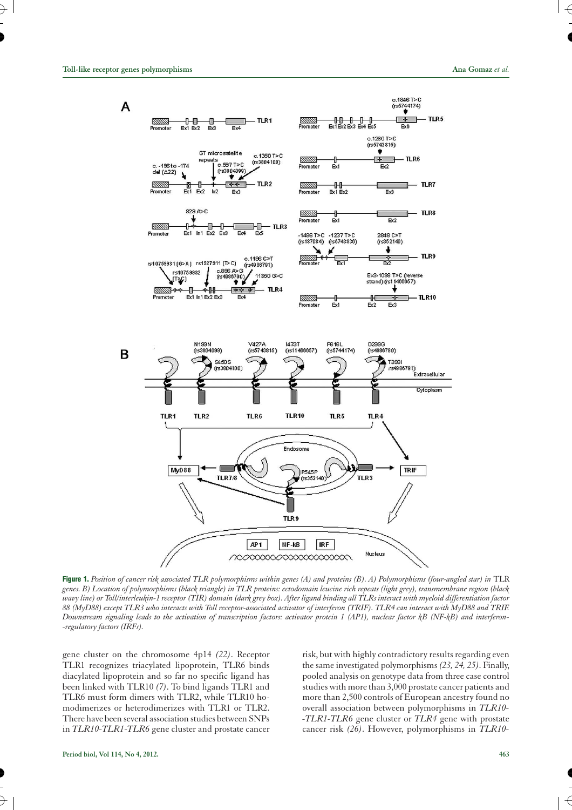

Figure 1. Position of cancer risk associated TLR polymorphisms within genes (A) and proteins (B). A) Polymorphisms (four-angled star) in TLR *genes. B) Location of polymorphisms (black triangle) in TLR proteins: ectodomain leucine rich repeats (light grey), transmembrane region (black wavy line) or Toll/interleukin-1 receptor (TIR) domain (dark grey box). After ligand binding all TLRs interact with myeloid differentiation factor 88 (MyD88) except TLR3 who interacts with Toll receptor-associated activator of interferon (TRIF). TLR4 can interact with MyD88 and TRIF. Downstream signaling leads to the activation of transcription factors: activator protein 1 (AP1), nuclear factor kB (NF-kB) and interferon- -regulatory factors (IRFs).*

gene cluster on the chromosome 4p14 *(22)*. Receptor TLR1 recognizes triacylated lipoprotein, TLR6 binds diacylated lipoprotein and so far no specific ligand has been linked with TLR10 *(7)*. To bind ligands TLR1 and TLR6 must form dimers with TLR2, while TLR10 homodimerizes or heterodimerizes with TLR1 or TLR2. There have been several association studies between SNPs in *TLR10-TLR1-TLR6* gene cluster and prostate cancer

risk, but with highly contradictory results regarding even the same investigated polymorphisms *(23, 24, 25)*. Finally, pooled analysis on genotype data from three case control studies with more than 3,000 prostate cancer patients and more than 2,500 controls of European ancestry found no overall association between polymorphisms in *TLR10- -TLR1-TLR6* gene cluster or *TLR4* gene with prostate cancer risk *(26)*. However, polymorphisms in *TLR10-*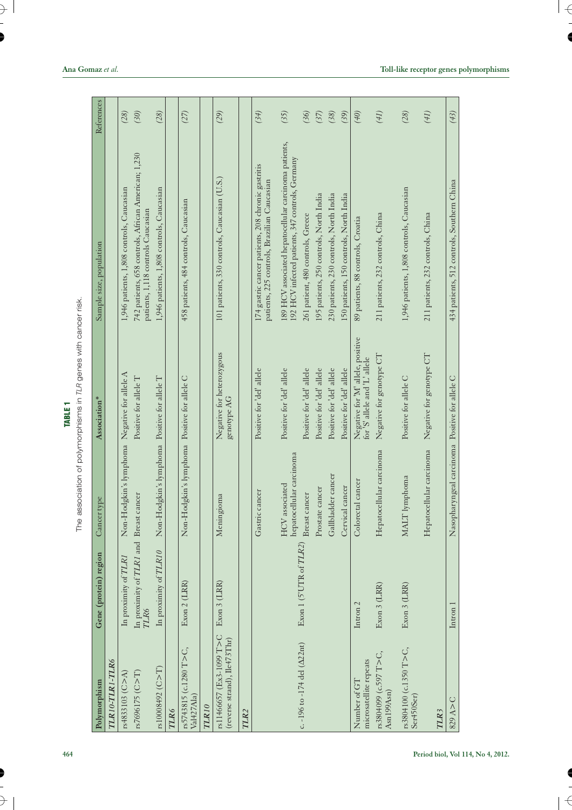The association of polymorphisms in *TLR* genes with cancer risk.

| Polymorphism                                             | Gene (protein) region                          | Cancer type                                    | Association*                                                       | Sample size, population                                                                                   | References |
|----------------------------------------------------------|------------------------------------------------|------------------------------------------------|--------------------------------------------------------------------|-----------------------------------------------------------------------------------------------------------|------------|
| TLR10-TLR1-TLR6                                          |                                                |                                                |                                                                    |                                                                                                           |            |
| rs4833103 (C > A)                                        | In proximity of TLR1                           | Non-Hodgkin's lymphoma                         | Negative for allele A                                              | 1,946 patients, 1,808 controls, Caucasian                                                                 | (28)       |
| rs7696175 (C > T)                                        | In proximity of TLRI and Breast cancer<br>TLR6 |                                                | Positive for allele T                                              | 742 patients, 658 controls, African American; 1,230<br>patients, 1,118 controls Caucasian                 | (30)       |
| rs10008492 ( $C > T$ )                                   | In proximity of TLR10                          | Non-Hodgkin's lymphoma Positive for allele T   |                                                                    | 1,946 patients, 1,808 controls, Caucasian                                                                 | (28)       |
| TLR6                                                     |                                                |                                                |                                                                    |                                                                                                           |            |
| rs5743815 (c.1280 T>C,<br>Val427Ala)                     | Exon 2 (LRR)                                   | Non-Hodgkin's lymphoma Positive for allele C   |                                                                    | 458 patients, 484 controls, Caucasian                                                                     | (27)       |
| TLR10                                                    |                                                |                                                |                                                                    |                                                                                                           |            |
| rs11466657 (Ex3-1099 T>C<br>(reverse strand), Ile473Thr) | Exon 3 (LRR)                                   | Meningioma                                     | Negative for heterozygous<br>genotype AG                           | 101 patients, 330 controls, Caucasian (U.S.)                                                              | (29)       |
| TLR <sub>2</sub>                                         |                                                |                                                |                                                                    |                                                                                                           |            |
|                                                          |                                                | Gastric cancer                                 | Positive for 'del' allele                                          | 174 gastric cancer patients, 208 chronic gastritis<br>patients, 225 controls, Brazilian Caucasian         | (34)       |
|                                                          |                                                | hepatocellular carcinoma<br>HCV associated     | Positive for 'del' allele                                          | 189 HCV associated hepatocellular carcinoma patients,<br>192 HCV infected patients, 347 controls, Germany | (35)       |
| c. -196 to -174 del ( $\Delta$ 22nt)                     | Exon 1 (5'UTR of TLR2)                         | Breast cancer                                  | Positive for 'del' allele                                          | 261 patient, 480 controls, Greece                                                                         | (36)       |
|                                                          |                                                | Prostate cancer                                | Positive for 'del' allele                                          | 195 patients, 250 controls, North India                                                                   | (37)       |
|                                                          |                                                | Gallbladder cancer                             | Positive for 'del' allele                                          | 230 patients, 230 controls, North India                                                                   | (38)       |
|                                                          |                                                | Cervical cancer                                | Positive for 'del' allele                                          | 150 patients, 150 controls, North India                                                                   | (39)       |
| microsatellite repeats<br>Number of GT                   | Intron <sub>2</sub>                            | Colorectal cancer                              | Negative for 'M' allele, positive<br>for 'S' allele and 'L' allele | 89 patients, 88 controls, Croatia                                                                         | (40)       |
| rs3804099 (c.597 T>C,<br>Asn199Asn)                      | Exon 3 (LRR)                                   | Hepatocellular carcinoma                       | Negative for genotype CT                                           | 211 patients, 232 controls, China                                                                         | (41)       |
| rs3804100 (c.1350 T>C,<br>Ser450Ser)                     | Exon 3 (LRR)                                   | MALT lymphoma                                  | Positive for allele C                                              | 1,946 patients, 1,808 controls, Caucasian                                                                 | (28)       |
|                                                          |                                                | Hepatocellular carcinoma                       | Negative for genotype CT                                           | 211 patients, 232 controls, China                                                                         | (41)       |
| TLR3                                                     |                                                |                                                |                                                                    |                                                                                                           |            |
| 829A > C                                                 | Intron 1                                       | Nasopharyngeal carcinoma Positive for allele C |                                                                    | 434 patients, 512 controls, Southern China                                                                | (43)       |
|                                                          |                                                |                                                |                                                                    |                                                                                                           |            |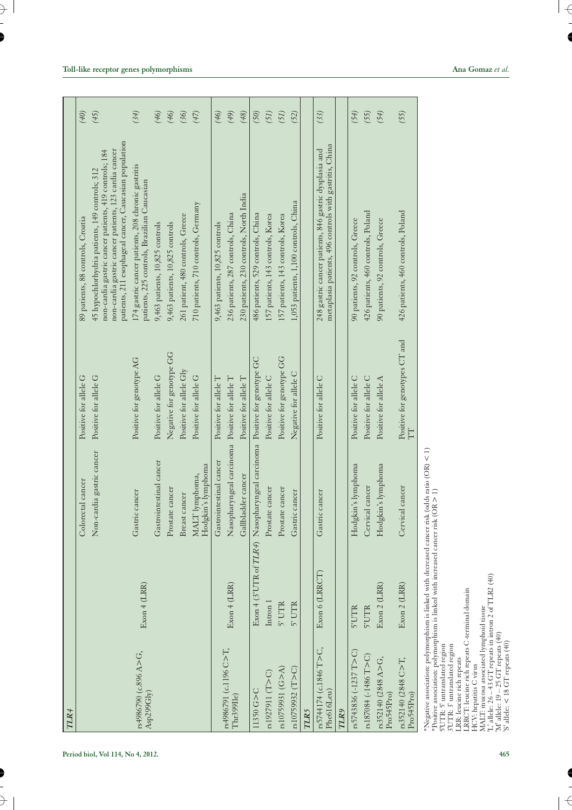| TLR4                                                                                                                                                                                                                                                                                                                                                                                                                                                                                                                                           |                |                                                                          |                                     |                                                                                                                                                                                                                           |      |
|------------------------------------------------------------------------------------------------------------------------------------------------------------------------------------------------------------------------------------------------------------------------------------------------------------------------------------------------------------------------------------------------------------------------------------------------------------------------------------------------------------------------------------------------|----------------|--------------------------------------------------------------------------|-------------------------------------|---------------------------------------------------------------------------------------------------------------------------------------------------------------------------------------------------------------------------|------|
|                                                                                                                                                                                                                                                                                                                                                                                                                                                                                                                                                |                | Colorectal cancer                                                        | Positive for allele G               | 89 patients, 88 controls, Croatia                                                                                                                                                                                         | (40) |
|                                                                                                                                                                                                                                                                                                                                                                                                                                                                                                                                                |                | Non-cardia gastric cancer                                                | Positive for allele G               | patients, 211 esophageal cancer, Caucasian population<br>non-cardia gastric cancer patients, 123 cardia cancer<br>non-cardia gastric cancer patients, 419 controls; 184<br>45 hypochlorhydria patients, 149 controls; 312 | (45) |
| rs4986790 (c.896 A>G,<br>Asp299Glv)                                                                                                                                                                                                                                                                                                                                                                                                                                                                                                            | Exon 4 (LR)    | Gastric cancer                                                           | Positive for genotype AG            | 174 gastric cancer patients, 208 chronic gastritis<br>patients, 225 controls, Brazilian Caucasian                                                                                                                         | (34) |
|                                                                                                                                                                                                                                                                                                                                                                                                                                                                                                                                                |                | Gastrointestinal cancer                                                  | Positive for allele G               | 9,463 patients, 10,825 controls                                                                                                                                                                                           | (46) |
|                                                                                                                                                                                                                                                                                                                                                                                                                                                                                                                                                |                | Prostate cancer                                                          | Negative for genotype GG            | 9,463 patients, 10,825 controls                                                                                                                                                                                           | (46) |
|                                                                                                                                                                                                                                                                                                                                                                                                                                                                                                                                                |                | Breast cancer                                                            | Positive for allele Gly             | 261 patient, 480 controls, Greece                                                                                                                                                                                         | (36) |
|                                                                                                                                                                                                                                                                                                                                                                                                                                                                                                                                                |                | Hodgkin's lymphoma<br>MALT lymphoma,                                     | Positive for allele G               | 710 patients, 710 controls, Germany                                                                                                                                                                                       | (47) |
|                                                                                                                                                                                                                                                                                                                                                                                                                                                                                                                                                |                | Gastrointestinal cancer                                                  | Positive for allele T               | 9,463 patients, 10,825 controls                                                                                                                                                                                           | (46) |
| rs4986791 (c.1196 C>T,<br>Thr399Ile)                                                                                                                                                                                                                                                                                                                                                                                                                                                                                                           | Exon 4 (LRR)   | Nasopharyngeal carcinoma                                                 | Positive for allele T               | 236 patients, 287 controls, China                                                                                                                                                                                         | (49) |
|                                                                                                                                                                                                                                                                                                                                                                                                                                                                                                                                                |                | Gallbladder cancer                                                       | Positive for allele T               | 230 patients, 230 controls, North India                                                                                                                                                                                   | (48) |
| $11350$ G>C                                                                                                                                                                                                                                                                                                                                                                                                                                                                                                                                    |                | Exon 4 (3'UTR of TLR4) Nasopharyngeal carcinoma Positive for genotype GC |                                     | 486 patients, 529 controls, China                                                                                                                                                                                         | (50) |
| rs1927911(T > C)                                                                                                                                                                                                                                                                                                                                                                                                                                                                                                                               | Intron 1       | Prostate cancer                                                          | Positive for allele C               | 157 patients, 143 controls, Korea                                                                                                                                                                                         | (51) |
| rs10759931 (G>A)                                                                                                                                                                                                                                                                                                                                                                                                                                                                                                                               | 5' UTR         | Prostate cancer                                                          | Positive for genotype GG            | 157 patients, 143 controls, Korea                                                                                                                                                                                         | (51) |
| rs10759932 (T>C)                                                                                                                                                                                                                                                                                                                                                                                                                                                                                                                               | 5' UTR         | Gastric cancer                                                           | Negative for allele C               | 1,053 patients, 1,100 controls, China                                                                                                                                                                                     | (52) |
| <b>TLR5</b>                                                                                                                                                                                                                                                                                                                                                                                                                                                                                                                                    |                |                                                                          |                                     |                                                                                                                                                                                                                           |      |
| rs5744174 (c.1846 T>C,<br>Phe616Leu)                                                                                                                                                                                                                                                                                                                                                                                                                                                                                                           | Exon 6 (LRRCT) | Gastric cancer                                                           | $\circ$<br>Positive for allele      | metaplasia patients, 496 controls with gastritis, China<br>248 gastric cancer patients, 846 gastric dysplasia and                                                                                                         | (33) |
| TLR9                                                                                                                                                                                                                                                                                                                                                                                                                                                                                                                                           |                |                                                                          |                                     |                                                                                                                                                                                                                           |      |
| rs5743836 (-1237 T > C)                                                                                                                                                                                                                                                                                                                                                                                                                                                                                                                        | 5'UTR          | Hodgkin's lymphoma                                                       | Positive for allele C               | 90 patients, 92 controls, Greece                                                                                                                                                                                          | (54) |
| rs187084 (-1486 T>C)                                                                                                                                                                                                                                                                                                                                                                                                                                                                                                                           | 5'UTR          | Cervical cancer                                                          | Positive for allele C               | 426 patients, 460 controls, Poland                                                                                                                                                                                        | (55) |
| rs352140 (2848 A>G,<br>Pro545Pro)                                                                                                                                                                                                                                                                                                                                                                                                                                                                                                              | Exon 2 (LRR)   | Hodgkin's lymphoma                                                       | Positive for allele A               | 90 patients, 92 controls, Greece                                                                                                                                                                                          | (54) |
| rs352140 (2848 C $>$ T,<br>Pro545Pro)                                                                                                                                                                                                                                                                                                                                                                                                                                                                                                          | Exon 2 (LRR)   | Cervical cancer                                                          | Positive for genotypes CT and<br>TT | 426 patients, 460 controls, Poland                                                                                                                                                                                        | (55) |
| *Negative association: polymorphism is linked with decreased cancer risk (odds ratio (OR) < 1)<br>*Positive association: polymorphism is linked with increased cancer risk (OR > 1)<br>L' allele: 26 - 43 GT repeats in intron 2 of TLR2 (40)<br>RRCT: leucine rich repeats C-terminal domain<br>MALT: mucosa associated lymphoid tissue<br>$M'$ allele: 19 - 25 GT repeats (40)<br>S' allele: < 18 GT repeats $(40)$<br>5'UTR: 5' untranslated region<br>3'UTR: 3' untranslated region<br>.RR: leucine rich repeats<br>HCV: hepatitis C virus |                |                                                                          |                                     |                                                                                                                                                                                                                           |      |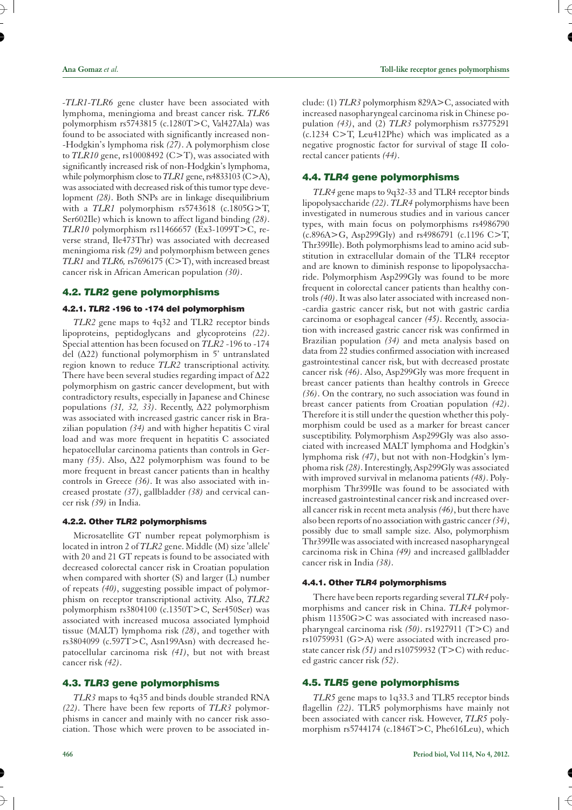**Ana Gomaz** *et al.* **Toll-like receptor genes polymorphisms**

*-TLR1-TLR6* gene cluster have been associated with lymphoma, meningioma and breast cancer risk. *TLR6* polymorphism rs5743815 (c.1280T>C, Val427Ala) was found to be associated with significantly increased non- -Hodgkin's lymphoma risk *(27)*. A polymorphism close to *TLR10* gene, rs10008492 (C>T), was associated with significantly increased risk of non-Hodgkin's lymphoma, while polymorphism close to *TLR1* gene, rs4833103 (C>A), was associated with decreased risk of this tumor type development (28). Both SNPs are in linkage disequilibrium with a  $TLR1$  polymorphism  $rs5743618$  (c.1805 $G>T$ , Ser602Ile) which is known to affect ligand binding *(28)*. *TLR10* polymorphism rs11466657 (Ex3-1099T>C, reverse strand, Ile473Thr) was associated with decreased meningioma risk *(29)* and polymorphism between genes *TLR1* and *TLR6,* rs7696175 (C>T), with increased breast cancer risk in African American population *(30)*.

## **4.2.** *TLR2* **gene polymorphisms**

## **4.2.1.** *TLR2* **-196 to -174 del polymorphism**

*TLR2* gene maps to 4q32 and TLR2 receptor binds lipoproteins, peptidoglycans and glycoproteins *(22)*. Special attention has been focused on *TLR2* -196 to -174 del  $(\Delta 22)$  functional polymorphism in 5' untranslated region known to reduce *TLR2* transcriptional activity. There have been several studies regarding impact of  $\Delta 22$ polymorphism on gastric cancer development, but with contradictory results, especially in Japanese and Chinese populations (31, 32, 33). Recently, Δ22 polymorphism was associated with increased gastric cancer risk in Brazilian population *(34)* and with higher hepatitis C viral load and was more frequent in hepatitis C associated hepatocellular carcinoma patients than controls in Germany  $(35)$ . Also,  $\Delta$ 22 polymorphism was found to be more frequent in breast cancer patients than in healthy controls in Greece *(36)*. It was also associated with increased prostate *(37)*, gallbladder *(38)* and cervical cancer risk *(39)* in India.

## **4.2.2. Other** *TLR2* **polymorphisms**

Microsatellite GT number repeat polymorphism is located in intron 2 of *TLR2* gene. Middle (M) size 'allele' with 20 and 21 GT repeats is found to be associated with decreased colorectal cancer risk in Croatian population when compared with shorter (S) and larger (L) number of repeats *(40)*, suggesting possible impact of polymorphism on receptor transcriptional activity. Also, *TLR2* polymorphism rs3804100 (c.1350T>C, Ser450Ser) was associated with increased mucosa associated lymphoid tissue (MALT) lymphoma risk *(28)*, and together with rs3804099 (c.597T>C, Asn199Asn) with decreased hepatocellular carcinoma risk *(41)*, but not with breast cancer risk *(42)*.

## **4.3.** *TLR3* **gene polymorphisms**

*TLR3* maps to 4q35 and binds double stranded RNA *(22)*. There have been few reports of *TLR3* polymorphisms in cancer and mainly with no cancer risk association. Those which were proven to be associated include: (1) *TLR3* polymorphism 829A>C, associated with increased nasopharyngeal carcinoma risk in Chinese population *(43)*, and (2) *TLR3* polymorphism rs3775291 (c.1234 C>T, Leu412Phe) which was implicated as a negative prognostic factor for survival of stage II colorectal cancer patients *(44)*.

# **4.4.** *TLR4* **gene polymorphisms**

*TLR4* gene maps to 9q32-33 and TLR4 receptor binds lipopolysaccharide *(22)*. *TLR4* polymorphisms have been investigated in numerous studies and in various cancer types, with main focus on polymorphisms rs4986790 (c.896A>G, Asp299Gly) and rs4986791 (c.1196 C>T, Thr399Ile). Both polymorphisms lead to amino acid substitution in extracellular domain of the TLR4 receptor and are known to diminish response to lipopolysaccharide. Polymorphism Asp299Gly was found to be more frequent in colorectal cancer patients than healthy controls *(40)*. It was also later associated with increased non- -cardia gastric cancer risk, but not with gastric cardia carcinoma or esophageal cancer *(45)*. Recently, association with increased gastric cancer risk was confirmed in Brazilian population *(34)* and meta analysis based on data from 22 studies confirmed association with increased gastrointestinal cancer risk, but with decreased prostate cancer risk *(46)*. Also, Asp299Gly was more frequent in breast cancer patients than healthy controls in Greece *(36)*. On the contrary, no such association was found in breast cancer patients from Croatian population *(42)*. Therefore it is still under the question whether this polymorphism could be used as a marker for breast cancer susceptibility. Polymorphism Asp299Gly was also associated with increased MALT lymphoma and Hodgkin's lymphoma risk *(47)*, but not with non-Hodgkin's lymphoma risk *(28)*. Interestingly, Asp299Gly was associated with improved survival in melanoma patients *(48)*. Polymorphism Thr399Ile was found to be associated with increased gastrointestinal cancer risk and increased overall cancer risk in recent meta analysis *(46)*, but there have also been reports of no association with gastric cancer*(34)*, possibly due to small sample size. Also, polymorphism Thr399Ile was associated with increased nasopharyngeal carcinoma risk in China *(49)* and increased gallbladder cancer risk in India *(38)*.

### **4.4.1. Other** *TLR4* **polymorphisms**

There have been reports regarding several *TLR4* polymorphisms and cancer risk in China. *TLR4* polymorphism 11350G>C was associated with increased nasopharyngeal carcinoma risk *(50)*. rs1927911 (T>C) and rs10759931 (G>A) were associated with increased prostate cancer risk *(51)* and rs10759932 (T>C) with reduced gastric cancer risk *(52)*.

## **4.5.** *TLR5* **gene polymorphisms**

*TLR5* gene maps to 1q33.3 and TLR5 receptor binds flagellin *(22)*. TLR5 polymorphisms have mainly not been associated with cancer risk. However, *TLR5* polymorphism rs5744174 (c.1846T>C, Phe616Leu), which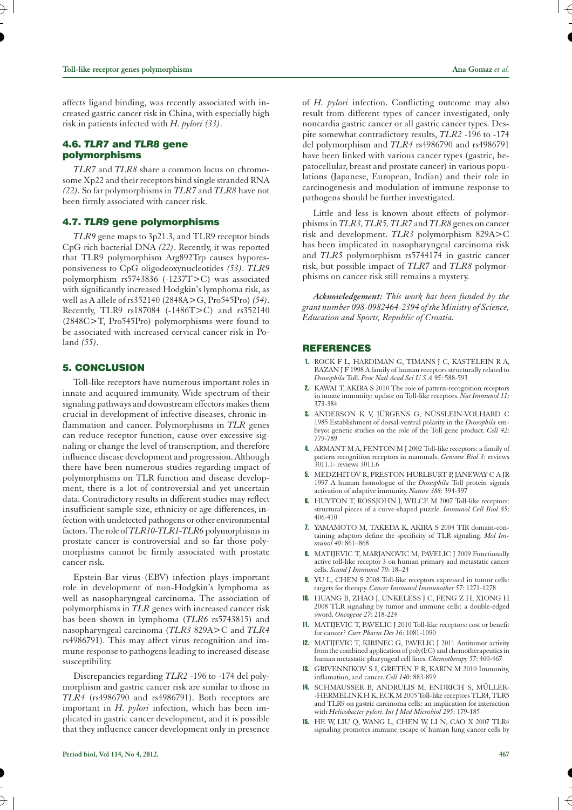affects ligand binding, was recently associated with increased gastric cancer risk in China, with especially high risk in patients infected with *H. pylori (33)*.

## **4.6.** *TLR7* **and** *TLR8* **gene polymorphisms**

*TLR7* and *TLR8* share a common locus on chromosome Xp22 and their receptors bind single stranded RNA *(22)*. So far polymorphisms in *TLR7* and *TLR8* have not been firmly associated with cancer risk.

## **4.7.** *TLR9* **gene polymorphisms**

*TLR9* gene maps to 3p21.3, and TLR9 receptor binds CpG rich bacterial DNA *(22)*. Recently, it was reported that TLR9 polymorphism Arg892Trp causes hyporesponsiveness to CpG oligodeoxynucleotides *(53)*. *TLR9* polymorphism rs5743836 (-1237T>C) was associated with significantly increased Hodgkin's lymphoma risk, as well as A allele of rs352140 (2848A>G, Pro545Pro) *(54)*. Recently, TLR9 rs187084 (-1486T>C) and rs352140 (2848C>T, Pro545Pro) polymorphisms were found to be associated with increased cervical cancer risk in Poland *(55)*.

### **5. CONCLUSION**

Toll-like receptors have numerous important roles in innate and acquired immunity. Wide spectrum of their signaling pathways and downstream effectors makes them crucial in development of infective diseases, chronic inflammation and cancer. Polymorphisms in *TLR* genes can reduce receptor function, cause over excessive signaling or change the level of transcription, and therefore influence disease development and progression. Although there have been numerous studies regarding impact of polymorphisms on TLR function and disease development, there is a lot of controversial and yet uncertain data. Contradictory results in different studies may reflect insufficient sample size, ethnicity or age differences, infection with undetected pathogens or other environmental factors. The role of*TLR10-TLR1-TLR6* polymorphisms in prostate cancer is controversial and so far those polymorphisms cannot be firmly associated with prostate cancer risk.

Epstein-Bar virus (EBV) infection plays important role in development of non-Hodgkin's lymphoma as well as nasopharyngeal carcinoma. The association of polymorphisms in *TLR* genes with increased cancer risk has been shown in lymphoma (*TLR6* rs5743815) and nasopharyngeal carcinoma (*TLR3* 829A>C and *TLR4* rs4986791). This may affect virus recognition and immune response to pathogens leading to increased disease susceptibility.

Discrepancies regarding *TLR2* -196 to -174 del polymorphism and gastric cancer risk are similar to those in *TLR4* (rs4986790 and rs4986791). Both receptors are important in *H. pylori* infection, which has been implicated in gastric cancer development, and it is possible that they influence cancer development only in presence of *H. pylori* infection. Conflicting outcome may also result from different types of cancer investigated, only noncardia gastric cancer or all gastric cancer types. Despite somewhat contradictory results, *TLR2* -196 to -174 del polymorphism and *TLR4* rs4986790 and rs4986791 have been linked with various cancer types (gastric, hepatocellular, breast and prostate cancer) in various populations (Japanese, European, Indian) and their role in carcinogenesis and modulation of immune response to pathogens should be further investigated.

Little and less is known about effects of polymorphisms in *TLR3, TLR5, TLR7* and *TLR8* genes on cancer risk and development. *TLR3* polymorphism 829A>C has been implicated in nasopharyngeal carcinoma risk and *TLR5* polymorphism rs5744174 in gastric cancer risk, but possible impact of *TLR7* and *TLR8* polymorphisms on cancer risk still remains a mystery.

*Acknowledgement: This work has been funded by the grant number 098-0982464-2394 of the Ministry of Science, Education and Sports, Republic of Croatia.*

### **REFERENCES**

- 1. ROCK F L, HARDIMAN G, TIMANS J C, KASTELEIN R A, BAZAN J F 1998 A family of human receptors structurally related to *Drosophila* Toll. *Proc Natl Acad Sci U S A 95*: 588-593
- 2. KAWAI T, AKIRA S 2010 The role of pattern-recognition receptors in innate immunity: update on Toll-like receptors. *Nat Immunol 11*: 373-384
- 3. ANDERSON K V, JÜRGENS G, NÜSSLEIN-VOLHARD C 1985 Establishment of dorsal-ventral polarity in the *Drosophila* embryo: genetic studies on the role of the Toll gene product. *Cell 42*: 779-789
- 4. ARMANT M A, FENTON M J 2002 Toll-like receptors: a family of pattern recognition receptors in mammals. *Genome Biol 3*: reviews 3011.1- reviews 3011.6
- 5. MEDZHITOV R, PRESTON HURLBURT P, JANEWAY C A JR 1997 A human homologue of the *Drosophila* Toll protein signals activation of adaptive immunity. *Nature 388*: 394-397
- 6. HUYTON T, ROSSJOHN J, WILCE M 2007 Toll-like receptors: structural pieces of a curve-shaped puzzle. *Immunol Cell Biol 85*: 406-410
- 7. YAMAMOTO M, TAKEDA K, AKIRA S 2004 TIR domain-containing adaptors define the specificity of TLR signaling. *Mol Immunol 40*: 861–868
- 8. MATIJEVIC T, MARJANOVIC M, PAVELIC J 2009 Functionally active toll-like receptor 3 on human primary and metastatic cancer cells. *Scand J Immunol 70*: 18–24
- 9. YU L, CHEN S 2008 Toll-like receptors expressed in tumor cells: targets for therapy. *Cancer Immunol Immunother 57*: 1271-1278
- 10. HUANG B, ZHAO J, UNKELESS J C, FENG Z H, XIONG H 2008 TLR signaling by tumor and immune cells: a double-edged sword. *Oncogene 27*: 218-224
- 11. MATIJEVIC T, PAVELIC J 2010 Toll-like receptors: cost or benefit for cancer? *Curr Pharm Des 16*: 1081-1090
- 12. MATIJEVIC T, KIRINEC G, PAVELIC J 2011 Antitumor activity from the combined application of poly(I:C) and chemotherapeutics in human metastatic pharyngeal cell lines. *Chemotherapy 57*: 460-467
- 13. GRIVENNIKOV S I, GRETEN F R, KARIN M 2010 Immunity, inflamation, and cancer. *Cell 140*: 883-899
- 14. SCHMAUSSER B, ANDRULIS M, ENDRICH S, MÜLLER- -HERMELINK H K, ECK M 2005 Toll-like receptors TLR4, TLR5 and TLR9 on gastric carcinoma cells: an implication for interaction with *Helicobacter pylori*. *Int J Med Microbiol 295*: 179-185
- 15. HE W, LIU Q, WANG L, CHEN W, LI N, CAO X 2007 TLR4 signaling promotes immune escape of human lung cancer cells by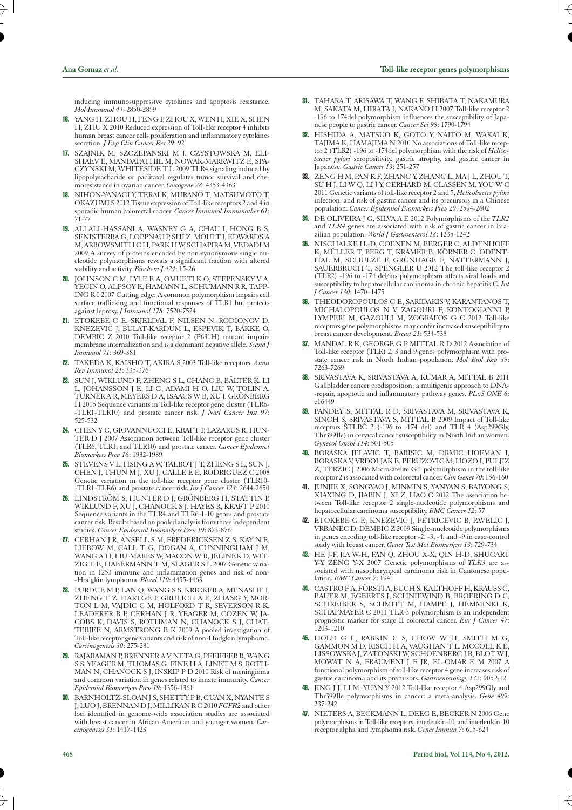inducing immunosuppressive cytokines and apoptosis resistance. *Mol Immunol 44*: 2850-2859

- 16. YANG H, ZHOU H, FENG P, ZHOU X, WEN H, XIE X, SHEN H, ZHU X 2010 Reduced expression of Toll-like receptor 4 inhibits human breast cancer cells proliferation and inflammatory cytokines secretion. *J Exp Clin Cancer Res 29*: 92
- 17. SZAJNIK M, SZCZEPANSKI M J, CZYSTOWSKA M, ELI-SHAEV E, MANDAPATHIL M, NOWAK-MARKWITZ E, SPA-CZYNSKI M, WHITESIDE T L 2009 TLR4 signaling induced by lipopolysacharide or paclitaxel regulates tumor survival and chemoresistance in ovarian cancer. *Oncogene 28*: 4353-4363
- 18. NIHON-YANAGI Y, TERAI K, MURANO T, MATSUMOTO T, OKAZUMI S 2012 Tissue expression of Toll-like receptors 2 and 4 in sporadic human colorectal cancer. *Cancer Immunol Immunother 61*: 71-77
- 19. ALLALI-HASSANI A, WASNEY G A, CHAU I, HONG B S, SENISTERRA G, LOPPNAU P, SHI Z, MOULT J, EDWARDS A M, ARROWSMITH C H, PARK H W, SCHAPIRA M, VEDADI M 2009 A survey of proteins encoded by non-synonymous single nucleotide polymorphisms reveals a significant fraction with altered stability and activity. *Biochem J 424*: 15-26
- 20. JOHNSON C M, LYLE E A, OMUETI K O, STEPENSKY V A, YEGIN O, ALPSOY E, HAMANN L, SCHUMANN R R, TAPP-ING R I 2007 Cutting edge: A common polymorphism impairs cell surface trafficking and functional responses of TLR1 but protects against leprosy. *J Immunol 178*: 7520-7524
- 21. ETOKEBE G E, SKJELDAL F, NILSEN N, RODIONOV D, KNEZEVIC J, BULAT-KARDUM L, ESPEVIK T, BAKKE O, DEMBIC Z 2010 Toll-like receptor 2 (P631H) mutant impairs membrane internalization and is a dominant negative allele. *Scand J Immunol 71*: 369-381
- 22. TAKEDA K, KAISHO T, AKIRA S 2003 Toll-like receptors. *Annu Rev Immunol 21*: 335-376
- 23. SUN J, WIKLUND F, ZHENG S L, CHANG B, BÄLTER K, LI L, JOHANSSON J E, LI G, ADAMI H O, LIU W, TOLIN A, TURNER A R, MEYERS D A, ISAACS W B, XU J, GRÖNBERG H 2005 Sequence variants in Toll-like receptor gene cluster (TLR6- -TLR1-TLR10) and prostate cancer risk. *J Natl Cancer Inst 97*: 525-532
- 24. CHEN Y C, GIOVANNUCCI E, KRAFT P, LAZARUS R, HUN-TER D J 2007 Association between Toll-like receptor gene cluster (TLR6, TLR1, and TLR10) and prostate cancer. *Cancer Epidemiol Biomarkers Prev 16*: 1982-1989
- 25. STEVENS V L, HSING A W, TALBOT J T, ZHENG S L, SUN J, CHEN J, THUN M J, XU J, CALLE E E, RODRIGUEZ C 2008 Genetic variation in the toll-like receptor gene cluster (TLR10- -TLR1-TLR6) and prostate cancer risk. *Int J Cancer 123*: 2644-2650
- 26. LINDSTRÖM S, HUNTER D J, GRÖNBERG H, STATTIN P, WIKLUND F, XU J, CHANOCK S J, HAYES R, KRAFT P 2010 Sequence variants in the TLR4 and TLR6-1-10 genes and prostate cancer risk. Results based on pooled analysis from three independent studies. *Cancer Epidemiol Biomarkers Prev 19*: 873-876
- 27. CERHAN J R, ANSELL S M, FREDERICKSEN Z S, KAY N E, LIEBOW M, CALL T G, DOGAN A, CUNNINGHAM J M, WANG A H, LIU-MARES W, MACON W R, JELINEK D, WIT-ZIG T E, HABERMANN T M, SLAGER S L 2007 Genetic variation in 1253 immune and inflammation genes and risk of non- -Hodgkin lymphoma. *Blood 110*: 4455-4463
- 28. PURDUE M P, LAN Q, WANG S S, KRICKER A, MENASHE I, ZHENG T Z, HARTGE P, GRULICH A E, ZHANG Y, MOR-TON L M, VAJDIC C M, HOLFORD T R, SEVERSON R K, LEADERER B P, CERHAN J R, YEAGER M, COZEN W, JA-COBS K, DAVIS S, ROTHMAN N, CHANOCK S J, CHAT-TERJEE N, ARMSTRONG B K 2009 A pooled investigation of Toll-like receptor gene variants and risk of non-Hodgkin lymphoma. *Carcinogenesis 30*: 275-281
- 29. RAJARAMAN P, BRENNER A V, NETA G, PFEIFFER R, WANG S S, YEAGER M, THOMAS G, FINE H A, LINET M S, ROTH-MAN N, CHANOCK S J, INSKIP P D 2010 Risk of meningioma and common variation in genes related to innate immunity. *Cancer Epidemiol Biomarkers Prev 19*: 1356-1361
- 30. BARNHOLTZ-SLOAN J S, SHETTY P B, GUAN X, NYANTE S J, LUO J, BRENNAN D J, MILLIKAN R C 2010 *FGFR2* and other loci identified in genome-wide association studies are associated with breast cancer in African-American and younger women. *Carcinogenesis 31*: 1417-1423
- 31. TAHARA T, ARISAWA T, WANG F, SHIBATA T, NAKAMURA M, SAKATA M, HIRATA I, NAKANO H 2007 Toll-like receptor 2 -196 to 174del polymorphism influences the susceptibility of Japanese people to gastric cancer. *Cancer Sci 98*: 1790-1794
- 32. HISHIDA A, MATSUO K, GOTO Y, NAITO M, WAKAI K, TAJIMA K, HAMAJIMA N 2010 No associations of Toll-like receptor 2 (TLR2) -196 to -174del polymorphism with the risk of *Helicobacter pylori* seropositivity, gastric atrophy, and gastric cancer in Japanese. *Gastric Cancer 13*: 251-257
- 33. ZENG H M, PAN K F, ZHANG Y, ZHANG L, MA J L, ZHOU T, SU H J, LI W Q, LI J Y, GERHARD M, CLASSEN M, YOU W C 2011 Genetic variants of toll-like receptor 2 and 5, *Helicobacter pylori* infection, and risk of gastric cancer and its precursors in a Chinese population. *Cancer Epidemiol Biomarkers Prev 20*: 2594-2602
- 34. DE OLIVEIRA J G, SILVA A E 2012 Polymorphisms of the *TLR2* and *TLR4* genes are associated with risk of gastric cancer in Brazilian population. *World J Gastroenterol 18*: 1235-1242
- 35. NISCHALKE H.-D, COENEN M, BERGER C, ALDENHOFF K, MÜLLER T, BERG T, KRÄMER B, KÖRNER C, ODENT-HAL M, SCHULZE F, GRÜNHAGE F, NATTERMANN J, SAUERBRUCH T, SPENGLER U 2012 The toll-like receptor 2 (TLR2) -196 to -174 del/ins polymorphism affects viral loads and susceptibility to hepatocellular carcinoma in chronic hepatitis C. *Int J Cancer 130*: 1470–1475
- 36. THEODOROPOULOS G E, SARIDAKIS V, KARANTANOS T, MICHALOPOULOS N V, ZAGOURI F, KONTOGIANNI P, LYMPERI M, GAZOULI M, ZOGRAFOS G C 2012 Toll-like receptors gene polymorphisms may confer increased susceptibility to breast cancer development. *Breast 21*: 534-538
- 37. MANDAL R K, GEORGE G P, MITTAL R D 2012 Association of Toll-like receptor (TLR) 2, 3 and 9 genes polymorphism with prostate cancer risk in North Indian population. *Mol Biol Rep 39*: 7263-7269
- 38. SRIVASTAVA K, SRIVASTAVA A, KUMAR A, MITTAL B 2011 Gallbladder cancer predisposition: a multigenic approach to DNA- -repair, apoptotic and inflammatory pathway genes. *PLoS ONE 6*: e16449
- 39. PANDEY S, MITTAL R D, SRIVASTAVA M, SRIVASTAVA K, SINGH S, SRIVASTAVA S, MITTAL B 2009 Impact of Toll-like receptors ŠTLRĆ 2 (-196 to -174 del) and TLR 4 (Asp299Gly, Thr399Ile) in cervical cancer susceptibility in North Indian women. *Gynecol Oncol 114*: 501-505
- 40. BORASKA JELAVIC T, BARISIC M, DRMIC HOFMAN I, BORASKA V, VRDOLJAK E, PERUZOVIC M, HOZO I, PULJIZ Z, TERZIC J 2006 Microsatelite GT polymorphism in the toll-like receptor 2 is associated with colorectal cancer.*Clin Genet 70*: 156-160
- 41. JUNJIE X, SONGYAO J, MINMIN S, YANYAN S, BAIYONG S, XIAXING D, JIABIN J, XI Z, HAO C 2012 The association between Toll-like receptor 2 single-nucleotide polymorphisms and hepatocellular carcinoma susceptibility. *BMC Cancer 12*: 57
- 42. ETOKEBE G E, KNEZEVIC J, PETRICEVIC B, PAVELIC J, VRBANEC D, DEMBIC Z 2009 Single-nucleotide polymorphisms in genes encoding toll-like receptor  $-2$ ,  $-3$ ,  $-4$ , and  $-9$  in case-control study with breast cancer. *Genet Test Mol Biomarkers 13*: 729-734
- 43. HE J-F, JIA W-H, FAN Q, ZHOU X-X, QIN H-D, SHUGART Y-Y, ZENG Y-X 2007 Genetic polymorphisms of *TLR3* are associated with nasopharyngeal carcinoma risk in Cantonese population. *BMC Cancer 7*: 194
- 44. CASTRO F A, FÖRSTI A, BUCH S, KALTHOFF H, KRAUSS C, BAUER M, EGBERTS J, SCHNIEWIND B, BROERING D C, SCHREIBER S, SCHMITT M, HAMPE J, HEMMINKI K, SCHAFMAYER C 2011 TLR-3 polymorphism is an independent prognostic marker for stage II colorectal cancer. *Eur J Cancer 47*: 1203-1210
- 45. HOLD G L, RABKIN C S, CHOW W H, SMITH M G, GAMMON M D, RISCH H A, VAUGHAN T L, MCCOLL K E, LISSOWSKA J, ZATONSKI W, SCHOENBERG J B, BLOT W J, MOWAT N A, FRAUMENI J F JR, EL-OMAR E M 2007 A functional polymorphism of toll-like receptor 4 gene increases risk of gastric carcinoma and its precursors. *Gastroenterology 132*: 905-912
- 46. JING J J, LI M, YUAN Y 2012 Toll-like receptor 4 Asp299Gly and Thr399Ile polymorphisms in cancer: a meta-analysis. *Gene 499*: 237-242
- 47. NIETERS A, BECKMANN L, DEEG E, BECKER N 2006 Gene polymorphisms in Toll-like receptors, interleukin-10, and interleukin-10 receptor alpha and lymphoma risk. *Genes Immun 7*: 615-624